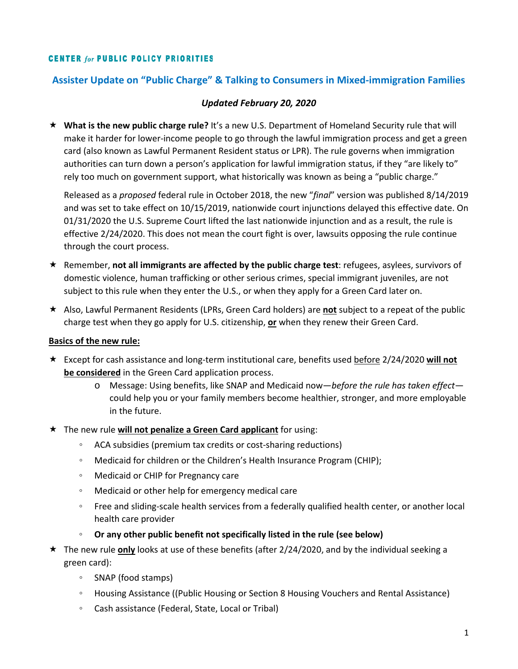### **CENTER for PUBLIC POLICY PRIORITIES**

## **Assister Update on "Public Charge" & Talking to Consumers in Mixed-immigration Families**

### *Updated February 20, 2020*

 **What is the new public charge rule?** It's a new U.S. Department of Homeland Security rule that will make it harder for lower-income people to go through the lawful immigration process and get a green card (also known as Lawful Permanent Resident status or LPR). The rule governs when immigration authorities can turn down a person's application for lawful immigration status, if they "are likely to" rely too much on government support, what historically was known as being a "public charge."

Released as a *proposed* federal rule in October 2018, the new "*final*" version was published 8/14/2019 and was set to take effect on 10/15/2019, nationwide court injunctions delayed this effective date. On 01/31/2020 the U.S. Supreme Court lifted the last nationwide injunction and as a result, the rule is effective 2/24/2020. This does not mean the court fight is over, lawsuits opposing the rule continue through the court process.

- **★** Remember, **not all immigrants are affected by the public charge test**: refugees, asylees, survivors of domestic violence, human trafficking or other serious crimes, special immigrant juveniles, are not subject to this rule when they enter the U.S., or when they apply for a Green Card later on.
- Also, Lawful Permanent Residents (LPRs, Green Card holders) are **not** subject to a repeat of the public charge test when they go apply for U.S. citizenship, **or** when they renew their Green Card.

#### **Basics of the new rule:**

- Except for cash assistance and long-term institutional care, benefits used before 2/24/2020 **will not be considered** in the Green Card application process.
	- o Message: Using benefits, like SNAP and Medicaid now—*before the rule has taken effect* could help you or your family members become healthier, stronger, and more employable in the future.
- The new rule **will not penalize a Green Card applicant** for using:
	- ACA subsidies (premium tax credits or cost-sharing reductions)
	- Medicaid for children or the Children's Health Insurance Program (CHIP);
	- Medicaid or CHIP for Pregnancy care
	- Medicaid or other help for emergency medical care
	- Free and sliding-scale health services from a federally qualified health center, or another local health care provider
	- **Or any other public benefit not specifically listed in the rule (see below)**
- The new rule **only** looks at use of these benefits (after 2/24/2020, and by the individual seeking a green card):
	- SNAP (food stamps)
	- Housing Assistance ((Public Housing or Section 8 Housing Vouchers and Rental Assistance)
	- Cash assistance (Federal, State, Local or Tribal)